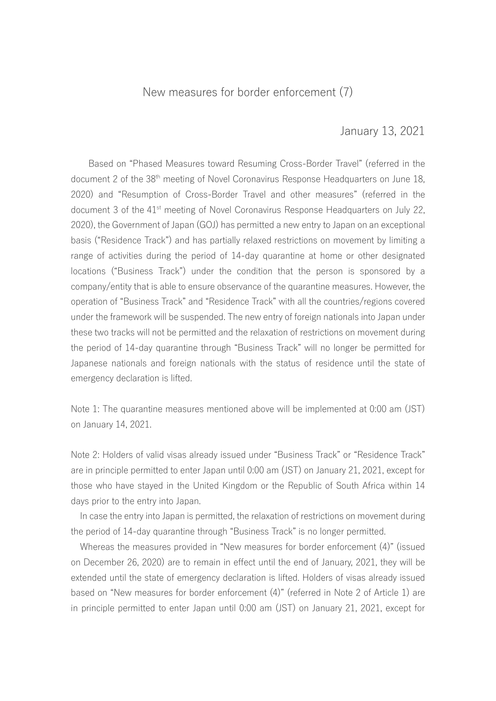## New measures for border enforcement (7)

## January 13, 2021

Based on "Phased Measures toward Resuming Cross-Border Travel" (referred in the document 2 of the 38<sup>th</sup> meeting of Novel Coronavirus Response Headquarters on June 18, 2020) and "Resumption of Cross-Border Travel and other measures" (referred in the document 3 of the 41<sup>st</sup> meeting of Novel Coronavirus Response Headquarters on July 22, 2020), the Government of Japan (GOJ) has permitted a new entry to Japan on an exceptional basis ("Residence Track") and has partially relaxed restrictions on movement by limiting a range of activities during the period of 14-day quarantine at home or other designated locations ("Business Track") under the condition that the person is sponsored by a company/entity that is able to ensure observance of the quarantine measures. However, the operation of "Business Track" and "Residence Track" with all the countries/regions covered under the framework will be suspended. The new entry of foreign nationals into Japan under these two tracks will not be permitted and the relaxation of restrictions on movement during the period of 14-day quarantine through "Business Track" will no longer be permitted for Japanese nationals and foreign nationals with the status of residence until the state of emergency declaration is lifted.

Note 1: The quarantine measures mentioned above will be implemented at 0:00 am (JST) on January 14, 2021.

Note 2: Holders of valid visas already issued under "Business Track" or "Residence Track" are in principle permitted to enter Japan until 0:00 am (JST) on January 21, 2021, except for those who have stayed in the United Kingdom or the Republic of South Africa within 14 days prior to the entry into Japan.

In case the entry into Japan is permitted, the relaxation of restrictions on movement during the period of 14-day quarantine through "Business Track" is no longer permitted.

Whereas the measures provided in "New measures for border enforcement (4)" (issued on December 26, 2020) are to remain in effect until the end of January, 2021, they will be extended until the state of emergency declaration is lifted. Holders of visas already issued based on "New measures for border enforcement (4)" (referred in Note 2 of Article 1) are in principle permitted to enter Japan until 0:00 am (JST) on January 21, 2021, except for